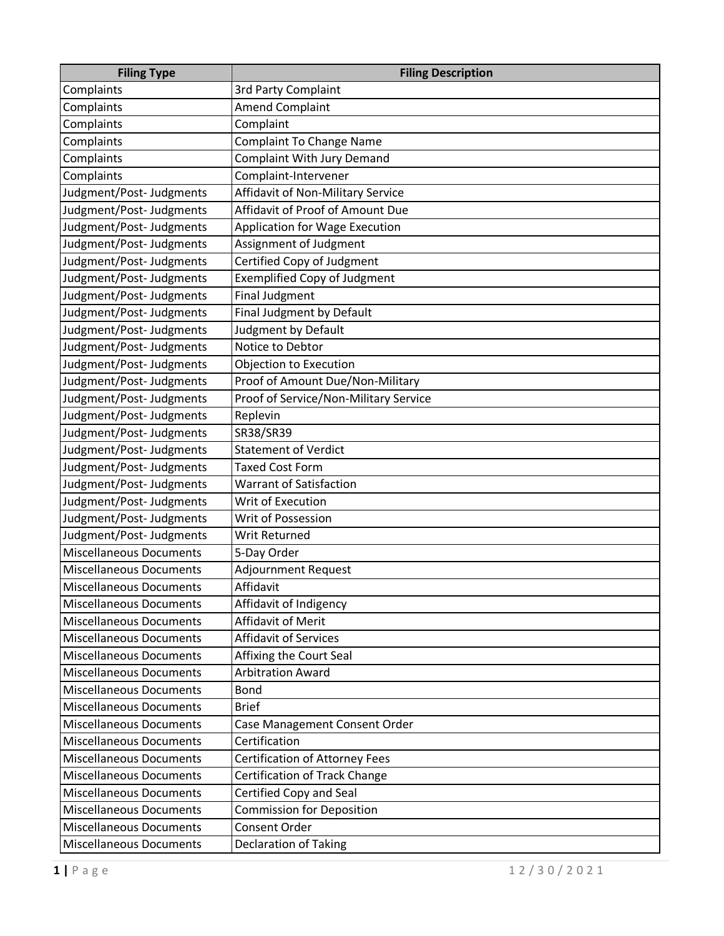| <b>Filing Type</b>             | <b>Filing Description</b>             |
|--------------------------------|---------------------------------------|
| Complaints                     | 3rd Party Complaint                   |
| Complaints                     | <b>Amend Complaint</b>                |
| Complaints                     | Complaint                             |
| Complaints                     | <b>Complaint To Change Name</b>       |
| Complaints                     | Complaint With Jury Demand            |
| Complaints                     | Complaint-Intervener                  |
| Judgment/Post- Judgments       | Affidavit of Non-Military Service     |
| Judgment/Post-Judgments        | Affidavit of Proof of Amount Due      |
| Judgment/Post-Judgments        | <b>Application for Wage Execution</b> |
| Judgment/Post-Judgments        | Assignment of Judgment                |
| Judgment/Post-Judgments        | Certified Copy of Judgment            |
| Judgment/Post-Judgments        | <b>Exemplified Copy of Judgment</b>   |
| Judgment/Post-Judgments        | <b>Final Judgment</b>                 |
| Judgment/Post-Judgments        | Final Judgment by Default             |
| Judgment/Post-Judgments        | Judgment by Default                   |
| Judgment/Post-Judgments        | Notice to Debtor                      |
| Judgment/Post-Judgments        | Objection to Execution                |
| Judgment/Post-Judgments        | Proof of Amount Due/Non-Military      |
| Judgment/Post-Judgments        | Proof of Service/Non-Military Service |
| Judgment/Post-Judgments        | Replevin                              |
| Judgment/Post-Judgments        | SR38/SR39                             |
| Judgment/Post-Judgments        | Statement of Verdict                  |
| Judgment/Post-Judgments        | <b>Taxed Cost Form</b>                |
| Judgment/Post-Judgments        | <b>Warrant of Satisfaction</b>        |
| Judgment/Post-Judgments        | Writ of Execution                     |
| Judgment/Post-Judgments        | Writ of Possession                    |
| Judgment/Post- Judgments       | Writ Returned                         |
| <b>Miscellaneous Documents</b> | 5-Day Order                           |
| <b>Miscellaneous Documents</b> | <b>Adjournment Request</b>            |
| <b>Miscellaneous Documents</b> | Affidavit                             |
| <b>Miscellaneous Documents</b> | Affidavit of Indigency                |
| <b>Miscellaneous Documents</b> | Affidavit of Merit                    |
| <b>Miscellaneous Documents</b> | <b>Affidavit of Services</b>          |
| <b>Miscellaneous Documents</b> | Affixing the Court Seal               |
| <b>Miscellaneous Documents</b> | <b>Arbitration Award</b>              |
| <b>Miscellaneous Documents</b> | <b>Bond</b>                           |
| <b>Miscellaneous Documents</b> | <b>Brief</b>                          |
| <b>Miscellaneous Documents</b> | Case Management Consent Order         |
| <b>Miscellaneous Documents</b> | Certification                         |
| <b>Miscellaneous Documents</b> | <b>Certification of Attorney Fees</b> |
| <b>Miscellaneous Documents</b> | Certification of Track Change         |
| <b>Miscellaneous Documents</b> | Certified Copy and Seal               |
| <b>Miscellaneous Documents</b> | Commission for Deposition             |
| <b>Miscellaneous Documents</b> | Consent Order                         |
| <b>Miscellaneous Documents</b> | <b>Declaration of Taking</b>          |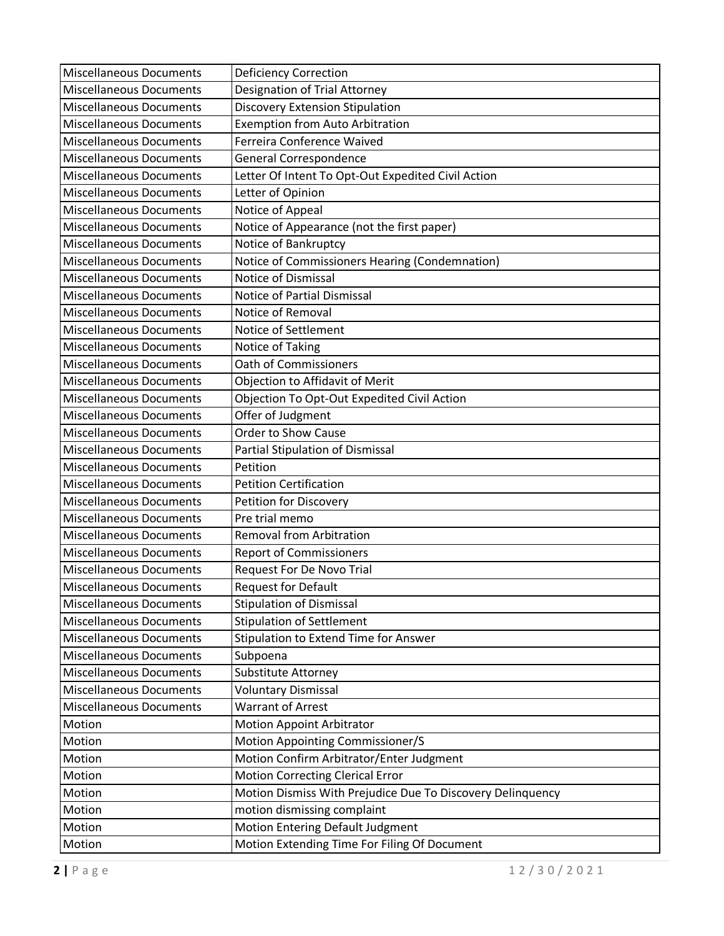| <b>Miscellaneous Documents</b> | <b>Deficiency Correction</b>                               |
|--------------------------------|------------------------------------------------------------|
| <b>Miscellaneous Documents</b> | Designation of Trial Attorney                              |
| <b>Miscellaneous Documents</b> | <b>Discovery Extension Stipulation</b>                     |
| <b>Miscellaneous Documents</b> | <b>Exemption from Auto Arbitration</b>                     |
| <b>Miscellaneous Documents</b> | Ferreira Conference Waived                                 |
| <b>Miscellaneous Documents</b> | General Correspondence                                     |
| <b>Miscellaneous Documents</b> | Letter Of Intent To Opt-Out Expedited Civil Action         |
| <b>Miscellaneous Documents</b> | Letter of Opinion                                          |
| <b>Miscellaneous Documents</b> | Notice of Appeal                                           |
| <b>Miscellaneous Documents</b> | Notice of Appearance (not the first paper)                 |
| <b>Miscellaneous Documents</b> | Notice of Bankruptcy                                       |
| <b>Miscellaneous Documents</b> | Notice of Commissioners Hearing (Condemnation)             |
| <b>Miscellaneous Documents</b> | Notice of Dismissal                                        |
| <b>Miscellaneous Documents</b> | Notice of Partial Dismissal                                |
| <b>Miscellaneous Documents</b> | Notice of Removal                                          |
| <b>Miscellaneous Documents</b> | Notice of Settlement                                       |
| <b>Miscellaneous Documents</b> | Notice of Taking                                           |
| <b>Miscellaneous Documents</b> | Oath of Commissioners                                      |
| <b>Miscellaneous Documents</b> | Objection to Affidavit of Merit                            |
| <b>Miscellaneous Documents</b> | Objection To Opt-Out Expedited Civil Action                |
| <b>Miscellaneous Documents</b> | Offer of Judgment                                          |
| <b>Miscellaneous Documents</b> | Order to Show Cause                                        |
| <b>Miscellaneous Documents</b> | Partial Stipulation of Dismissal                           |
| <b>Miscellaneous Documents</b> | Petition                                                   |
| <b>Miscellaneous Documents</b> | <b>Petition Certification</b>                              |
| <b>Miscellaneous Documents</b> | Petition for Discovery                                     |
| <b>Miscellaneous Documents</b> | Pre trial memo                                             |
| <b>Miscellaneous Documents</b> | <b>Removal from Arbitration</b>                            |
| <b>Miscellaneous Documents</b> | <b>Report of Commissioners</b>                             |
| <b>Miscellaneous Documents</b> | <b>Request For De Novo Trial</b>                           |
| <b>Miscellaneous Documents</b> | <b>Request for Default</b>                                 |
| <b>Miscellaneous Documents</b> | <b>Stipulation of Dismissal</b>                            |
| <b>Miscellaneous Documents</b> | <b>Stipulation of Settlement</b>                           |
| <b>Miscellaneous Documents</b> | <b>Stipulation to Extend Time for Answer</b>               |
| <b>Miscellaneous Documents</b> | Subpoena                                                   |
| <b>Miscellaneous Documents</b> | Substitute Attorney                                        |
| <b>Miscellaneous Documents</b> | <b>Voluntary Dismissal</b>                                 |
| <b>Miscellaneous Documents</b> | <b>Warrant of Arrest</b>                                   |
| Motion                         | <b>Motion Appoint Arbitrator</b>                           |
| Motion                         | Motion Appointing Commissioner/S                           |
| Motion                         | Motion Confirm Arbitrator/Enter Judgment                   |
| Motion                         | <b>Motion Correcting Clerical Error</b>                    |
| Motion                         | Motion Dismiss With Prejudice Due To Discovery Delinquency |
| Motion                         | motion dismissing complaint                                |
| Motion                         | Motion Entering Default Judgment                           |
| Motion                         | Motion Extending Time For Filing Of Document               |
|                                |                                                            |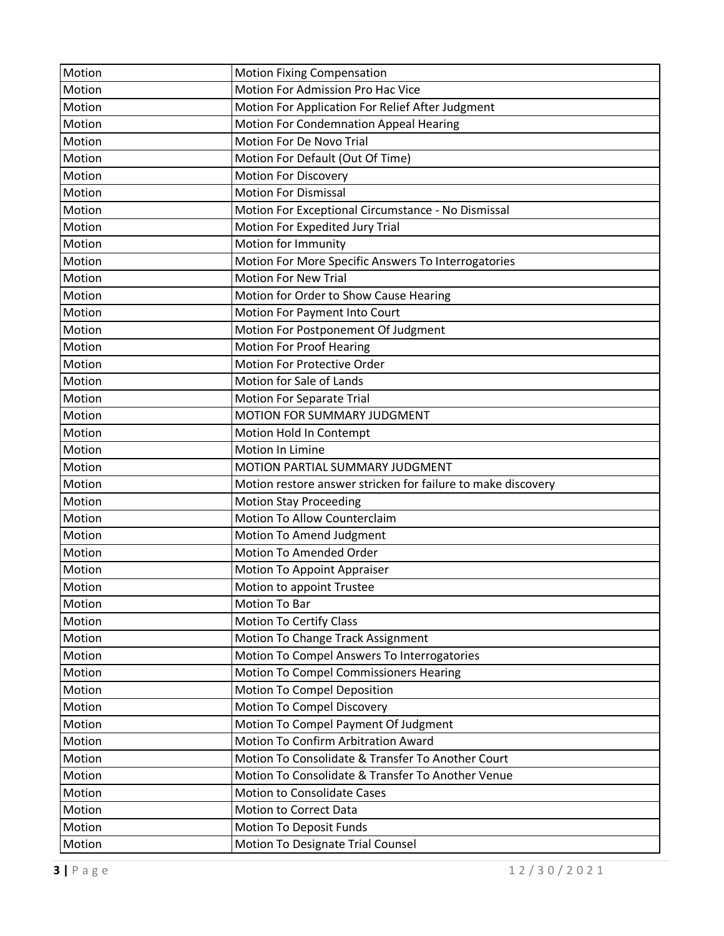| Motion | <b>Motion Fixing Compensation</b>                            |
|--------|--------------------------------------------------------------|
| Motion | Motion For Admission Pro Hac Vice                            |
| Motion | Motion For Application For Relief After Judgment             |
| Motion | Motion For Condemnation Appeal Hearing                       |
| Motion | Motion For De Novo Trial                                     |
| Motion | Motion For Default (Out Of Time)                             |
| Motion | <b>Motion For Discovery</b>                                  |
| Motion | <b>Motion For Dismissal</b>                                  |
| Motion | Motion For Exceptional Circumstance - No Dismissal           |
| Motion | Motion For Expedited Jury Trial                              |
| Motion | Motion for Immunity                                          |
| Motion | Motion For More Specific Answers To Interrogatories          |
| Motion | <b>Motion For New Trial</b>                                  |
| Motion | Motion for Order to Show Cause Hearing                       |
| Motion | Motion For Payment Into Court                                |
| Motion | Motion For Postponement Of Judgment                          |
| Motion | <b>Motion For Proof Hearing</b>                              |
| Motion | Motion For Protective Order                                  |
| Motion | Motion for Sale of Lands                                     |
| Motion | <b>Motion For Separate Trial</b>                             |
| Motion | MOTION FOR SUMMARY JUDGMENT                                  |
| Motion | Motion Hold In Contempt                                      |
| Motion | Motion In Limine                                             |
| Motion | MOTION PARTIAL SUMMARY JUDGMENT                              |
| Motion | Motion restore answer stricken for failure to make discovery |
| Motion | <b>Motion Stay Proceeding</b>                                |
| Motion | Motion To Allow Counterclaim                                 |
| Motion | Motion To Amend Judgment                                     |
| Motion | <b>Motion To Amended Order</b>                               |
| Motion | <b>Motion To Appoint Appraiser</b>                           |
| Motion | Motion to appoint Trustee                                    |
| Motion | Motion To Bar                                                |
| Motion | <b>Motion To Certify Class</b>                               |
| Motion | Motion To Change Track Assignment                            |
| Motion | Motion To Compel Answers To Interrogatories                  |
| Motion | Motion To Compel Commissioners Hearing                       |
| Motion | Motion To Compel Deposition                                  |
| Motion | Motion To Compel Discovery                                   |
| Motion | Motion To Compel Payment Of Judgment                         |
| Motion | Motion To Confirm Arbitration Award                          |
| Motion | Motion To Consolidate & Transfer To Another Court            |
| Motion | Motion To Consolidate & Transfer To Another Venue            |
| Motion | <b>Motion to Consolidate Cases</b>                           |
| Motion | Motion to Correct Data                                       |
| Motion | <b>Motion To Deposit Funds</b>                               |
| Motion | Motion To Designate Trial Counsel                            |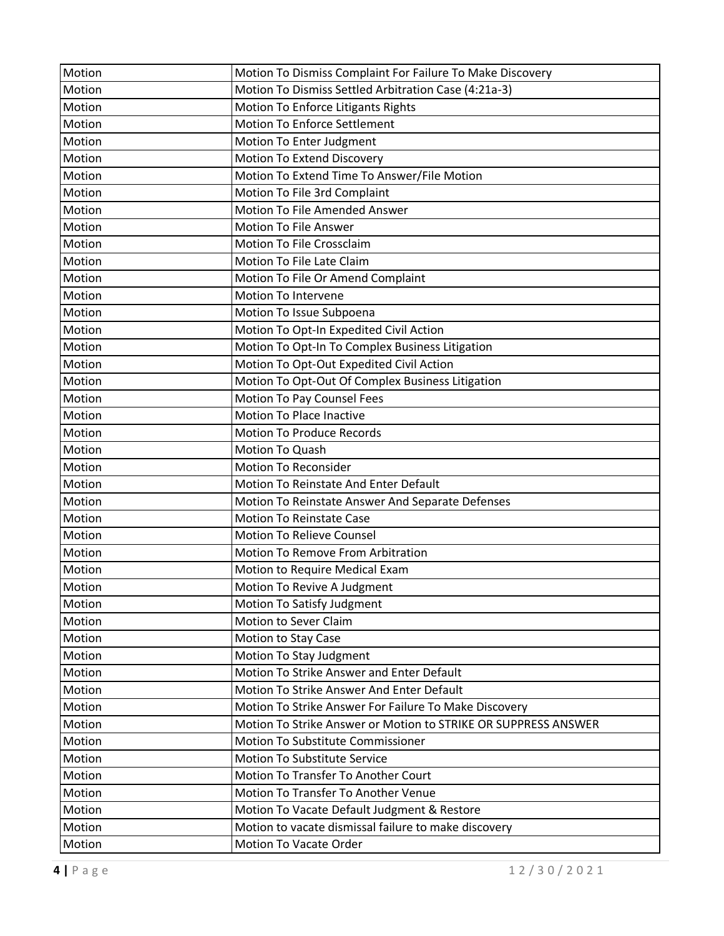| Motion | Motion To Dismiss Complaint For Failure To Make Discovery      |
|--------|----------------------------------------------------------------|
| Motion | Motion To Dismiss Settled Arbitration Case (4:21a-3)           |
| Motion | Motion To Enforce Litigants Rights                             |
| Motion | <b>Motion To Enforce Settlement</b>                            |
| Motion | Motion To Enter Judgment                                       |
| Motion | Motion To Extend Discovery                                     |
| Motion | Motion To Extend Time To Answer/File Motion                    |
| Motion | Motion To File 3rd Complaint                                   |
| Motion | <b>Motion To File Amended Answer</b>                           |
| Motion | <b>Motion To File Answer</b>                                   |
| Motion | Motion To File Crossclaim                                      |
| Motion | Motion To File Late Claim                                      |
| Motion | Motion To File Or Amend Complaint                              |
| Motion | <b>Motion To Intervene</b>                                     |
| Motion | Motion To Issue Subpoena                                       |
| Motion | Motion To Opt-In Expedited Civil Action                        |
| Motion | Motion To Opt-In To Complex Business Litigation                |
| Motion | Motion To Opt-Out Expedited Civil Action                       |
| Motion | Motion To Opt-Out Of Complex Business Litigation               |
| Motion | Motion To Pay Counsel Fees                                     |
| Motion | <b>Motion To Place Inactive</b>                                |
| Motion | <b>Motion To Produce Records</b>                               |
| Motion | Motion To Quash                                                |
| Motion | <b>Motion To Reconsider</b>                                    |
| Motion | Motion To Reinstate And Enter Default                          |
| Motion | Motion To Reinstate Answer And Separate Defenses               |
| Motion | <b>Motion To Reinstate Case</b>                                |
| Motion | <b>Motion To Relieve Counsel</b>                               |
| Motion | <b>Motion To Remove From Arbitration</b>                       |
| Motion | Motion to Require Medical Exam                                 |
| Motion | Motion To Revive A Judgment                                    |
| Motion | Motion To Satisfy Judgment                                     |
| Motion | Motion to Sever Claim                                          |
| Motion | Motion to Stay Case                                            |
| Motion | Motion To Stay Judgment                                        |
| Motion | Motion To Strike Answer and Enter Default                      |
| Motion | Motion To Strike Answer And Enter Default                      |
| Motion | Motion To Strike Answer For Failure To Make Discovery          |
| Motion | Motion To Strike Answer or Motion to STRIKE OR SUPPRESS ANSWER |
| Motion | Motion To Substitute Commissioner                              |
| Motion | Motion To Substitute Service                                   |
| Motion | Motion To Transfer To Another Court                            |
| Motion | Motion To Transfer To Another Venue                            |
| Motion | Motion To Vacate Default Judgment & Restore                    |
| Motion | Motion to vacate dismissal failure to make discovery           |
| Motion | Motion To Vacate Order                                         |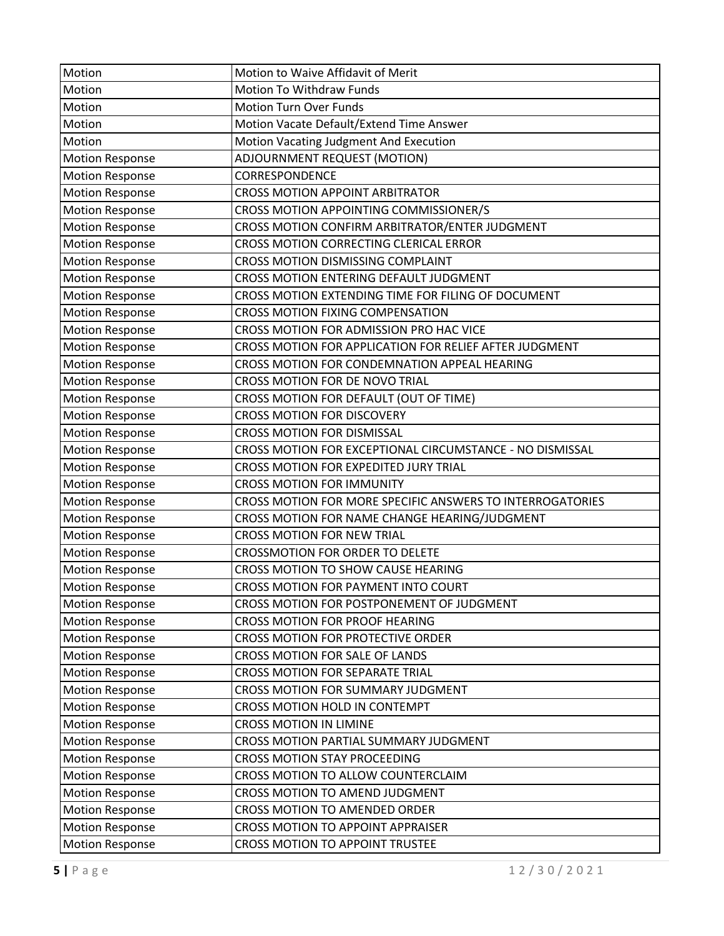| Motion                 | Motion to Waive Affidavit of Merit                        |
|------------------------|-----------------------------------------------------------|
| Motion                 | Motion To Withdraw Funds                                  |
| Motion                 | <b>Motion Turn Over Funds</b>                             |
| Motion                 | Motion Vacate Default/Extend Time Answer                  |
| Motion                 | Motion Vacating Judgment And Execution                    |
| <b>Motion Response</b> | ADJOURNMENT REQUEST (MOTION)                              |
| <b>Motion Response</b> | CORRESPONDENCE                                            |
| <b>Motion Response</b> | <b>CROSS MOTION APPOINT ARBITRATOR</b>                    |
| <b>Motion Response</b> | CROSS MOTION APPOINTING COMMISSIONER/S                    |
| <b>Motion Response</b> | CROSS MOTION CONFIRM ARBITRATOR/ENTER JUDGMENT            |
| <b>Motion Response</b> | CROSS MOTION CORRECTING CLERICAL ERROR                    |
| <b>Motion Response</b> | CROSS MOTION DISMISSING COMPLAINT                         |
| <b>Motion Response</b> | CROSS MOTION ENTERING DEFAULT JUDGMENT                    |
| <b>Motion Response</b> | CROSS MOTION EXTENDING TIME FOR FILING OF DOCUMENT        |
| <b>Motion Response</b> | <b>CROSS MOTION FIXING COMPENSATION</b>                   |
| <b>Motion Response</b> | CROSS MOTION FOR ADMISSION PRO HAC VICE                   |
| <b>Motion Response</b> | CROSS MOTION FOR APPLICATION FOR RELIEF AFTER JUDGMENT    |
| <b>Motion Response</b> | CROSS MOTION FOR CONDEMNATION APPEAL HEARING              |
| <b>Motion Response</b> | CROSS MOTION FOR DE NOVO TRIAL                            |
| <b>Motion Response</b> | CROSS MOTION FOR DEFAULT (OUT OF TIME)                    |
| <b>Motion Response</b> | <b>CROSS MOTION FOR DISCOVERY</b>                         |
| <b>Motion Response</b> | <b>CROSS MOTION FOR DISMISSAL</b>                         |
| <b>Motion Response</b> | CROSS MOTION FOR EXCEPTIONAL CIRCUMSTANCE - NO DISMISSAL  |
| <b>Motion Response</b> | CROSS MOTION FOR EXPEDITED JURY TRIAL                     |
| <b>Motion Response</b> | <b>CROSS MOTION FOR IMMUNITY</b>                          |
| <b>Motion Response</b> | CROSS MOTION FOR MORE SPECIFIC ANSWERS TO INTERROGATORIES |
| <b>Motion Response</b> | CROSS MOTION FOR NAME CHANGE HEARING/JUDGMENT             |
| <b>Motion Response</b> | <b>CROSS MOTION FOR NEW TRIAL</b>                         |
| <b>Motion Response</b> | CROSSMOTION FOR ORDER TO DELETE                           |
| <b>Motion Response</b> | CROSS MOTION TO SHOW CAUSE HEARING                        |
| <b>Motion Response</b> | CROSS MOTION FOR PAYMENT INTO COURT                       |
| <b>Motion Response</b> | CROSS MOTION FOR POSTPONEMENT OF JUDGMENT                 |
| <b>Motion Response</b> | CROSS MOTION FOR PROOF HEARING                            |
| <b>Motion Response</b> | CROSS MOTION FOR PROTECTIVE ORDER                         |
| <b>Motion Response</b> | CROSS MOTION FOR SALE OF LANDS                            |
| <b>Motion Response</b> | CROSS MOTION FOR SEPARATE TRIAL                           |
| <b>Motion Response</b> | CROSS MOTION FOR SUMMARY JUDGMENT                         |
| <b>Motion Response</b> | CROSS MOTION HOLD IN CONTEMPT                             |
| <b>Motion Response</b> | <b>CROSS MOTION IN LIMINE</b>                             |
| <b>Motion Response</b> | CROSS MOTION PARTIAL SUMMARY JUDGMENT                     |
| <b>Motion Response</b> | <b>CROSS MOTION STAY PROCEEDING</b>                       |
| <b>Motion Response</b> | CROSS MOTION TO ALLOW COUNTERCLAIM                        |
| <b>Motion Response</b> | CROSS MOTION TO AMEND JUDGMENT                            |
| <b>Motion Response</b> | CROSS MOTION TO AMENDED ORDER                             |
| <b>Motion Response</b> | CROSS MOTION TO APPOINT APPRAISER                         |
| <b>Motion Response</b> | <b>CROSS MOTION TO APPOINT TRUSTEE</b>                    |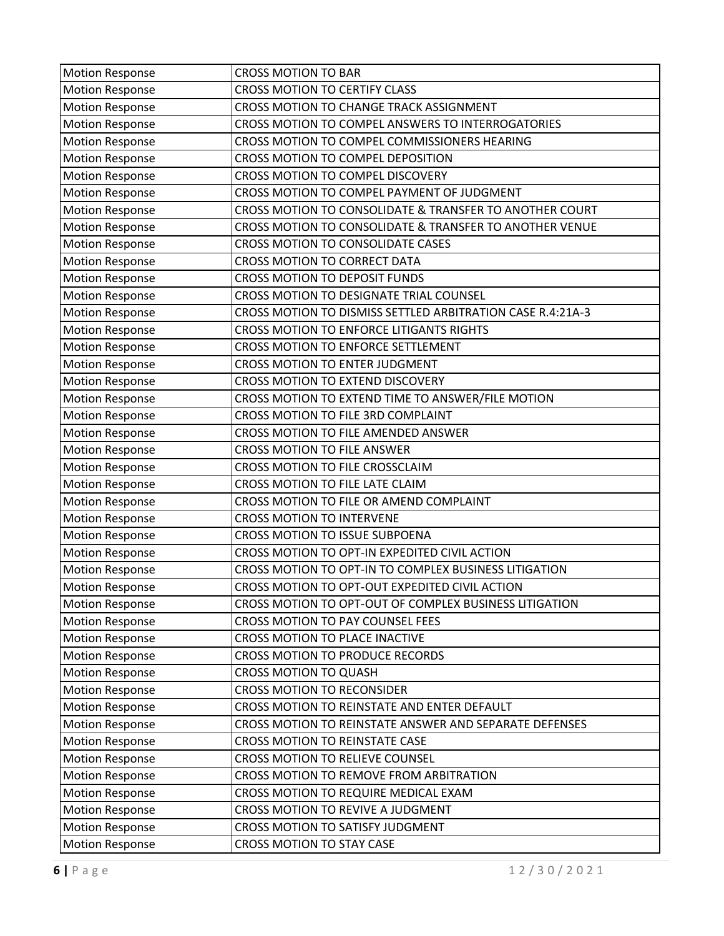| <b>Motion Response</b> | <b>CROSS MOTION TO BAR</b>                                 |
|------------------------|------------------------------------------------------------|
| <b>Motion Response</b> | <b>CROSS MOTION TO CERTIFY CLASS</b>                       |
| <b>Motion Response</b> | CROSS MOTION TO CHANGE TRACK ASSIGNMENT                    |
| <b>Motion Response</b> | CROSS MOTION TO COMPEL ANSWERS TO INTERROGATORIES          |
| <b>Motion Response</b> | CROSS MOTION TO COMPEL COMMISSIONERS HEARING               |
| <b>Motion Response</b> | CROSS MOTION TO COMPEL DEPOSITION                          |
| <b>Motion Response</b> | CROSS MOTION TO COMPEL DISCOVERY                           |
| <b>Motion Response</b> | CROSS MOTION TO COMPEL PAYMENT OF JUDGMENT                 |
| <b>Motion Response</b> | CROSS MOTION TO CONSOLIDATE & TRANSFER TO ANOTHER COURT    |
| <b>Motion Response</b> | CROSS MOTION TO CONSOLIDATE & TRANSFER TO ANOTHER VENUE    |
| <b>Motion Response</b> | CROSS MOTION TO CONSOLIDATE CASES                          |
| <b>Motion Response</b> | <b>CROSS MOTION TO CORRECT DATA</b>                        |
| <b>Motion Response</b> | <b>CROSS MOTION TO DEPOSIT FUNDS</b>                       |
| <b>Motion Response</b> | CROSS MOTION TO DESIGNATE TRIAL COUNSEL                    |
| <b>Motion Response</b> | CROSS MOTION TO DISMISS SETTLED ARBITRATION CASE R.4:21A-3 |
| <b>Motion Response</b> | CROSS MOTION TO ENFORCE LITIGANTS RIGHTS                   |
| <b>Motion Response</b> | CROSS MOTION TO ENFORCE SETTLEMENT                         |
| <b>Motion Response</b> | CROSS MOTION TO ENTER JUDGMENT                             |
| <b>Motion Response</b> | CROSS MOTION TO EXTEND DISCOVERY                           |
| <b>Motion Response</b> | CROSS MOTION TO EXTEND TIME TO ANSWER/FILE MOTION          |
| <b>Motion Response</b> | CROSS MOTION TO FILE 3RD COMPLAINT                         |
| <b>Motion Response</b> | CROSS MOTION TO FILE AMENDED ANSWER                        |
| <b>Motion Response</b> | <b>CROSS MOTION TO FILE ANSWER</b>                         |
| <b>Motion Response</b> | CROSS MOTION TO FILE CROSSCLAIM                            |
| <b>Motion Response</b> | CROSS MOTION TO FILE LATE CLAIM                            |
| <b>Motion Response</b> | CROSS MOTION TO FILE OR AMEND COMPLAINT                    |
| <b>Motion Response</b> | <b>CROSS MOTION TO INTERVENE</b>                           |
| <b>Motion Response</b> | <b>CROSS MOTION TO ISSUE SUBPOENA</b>                      |
| <b>Motion Response</b> | CROSS MOTION TO OPT-IN EXPEDITED CIVIL ACTION              |
| <b>Motion Response</b> | CROSS MOTION TO OPT-IN TO COMPLEX BUSINESS LITIGATION      |
| <b>Motion Response</b> | CROSS MOTION TO OPT-OUT EXPEDITED CIVIL ACTION             |
| <b>Motion Response</b> | CROSS MOTION TO OPT-OUT OF COMPLEX BUSINESS LITIGATION     |
| <b>Motion Response</b> | CROSS MOTION TO PAY COUNSEL FEES                           |
| <b>Motion Response</b> | CROSS MOTION TO PLACE INACTIVE                             |
| <b>Motion Response</b> | CROSS MOTION TO PRODUCE RECORDS                            |
| <b>Motion Response</b> | <b>CROSS MOTION TO QUASH</b>                               |
| <b>Motion Response</b> | <b>CROSS MOTION TO RECONSIDER</b>                          |
| <b>Motion Response</b> | CROSS MOTION TO REINSTATE AND ENTER DEFAULT                |
| <b>Motion Response</b> | CROSS MOTION TO REINSTATE ANSWER AND SEPARATE DEFENSES     |
| <b>Motion Response</b> | <b>CROSS MOTION TO REINSTATE CASE</b>                      |
| <b>Motion Response</b> | CROSS MOTION TO RELIEVE COUNSEL                            |
| <b>Motion Response</b> | CROSS MOTION TO REMOVE FROM ARBITRATION                    |
| <b>Motion Response</b> | CROSS MOTION TO REQUIRE MEDICAL EXAM                       |
| <b>Motion Response</b> | CROSS MOTION TO REVIVE A JUDGMENT                          |
| <b>Motion Response</b> | CROSS MOTION TO SATISFY JUDGMENT                           |
| <b>Motion Response</b> | <b>CROSS MOTION TO STAY CASE</b>                           |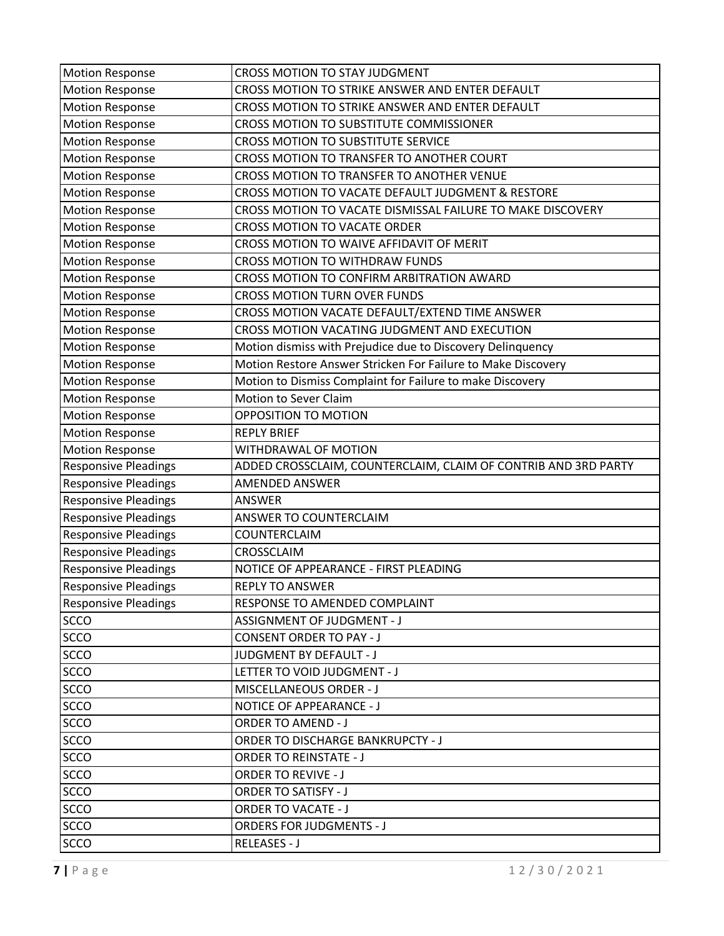| <b>Motion Response</b>      | CROSS MOTION TO STAY JUDGMENT                                  |
|-----------------------------|----------------------------------------------------------------|
| <b>Motion Response</b>      | CROSS MOTION TO STRIKE ANSWER AND ENTER DEFAULT                |
| <b>Motion Response</b>      | CROSS MOTION TO STRIKE ANSWER AND ENTER DEFAULT                |
| <b>Motion Response</b>      | CROSS MOTION TO SUBSTITUTE COMMISSIONER                        |
| <b>Motion Response</b>      | CROSS MOTION TO SUBSTITUTE SERVICE                             |
| <b>Motion Response</b>      | CROSS MOTION TO TRANSFER TO ANOTHER COURT                      |
| <b>Motion Response</b>      | CROSS MOTION TO TRANSFER TO ANOTHER VENUE                      |
| <b>Motion Response</b>      | CROSS MOTION TO VACATE DEFAULT JUDGMENT & RESTORE              |
| <b>Motion Response</b>      | CROSS MOTION TO VACATE DISMISSAL FAILURE TO MAKE DISCOVERY     |
| <b>Motion Response</b>      | <b>CROSS MOTION TO VACATE ORDER</b>                            |
| <b>Motion Response</b>      | CROSS MOTION TO WAIVE AFFIDAVIT OF MERIT                       |
| <b>Motion Response</b>      | CROSS MOTION TO WITHDRAW FUNDS                                 |
| <b>Motion Response</b>      | CROSS MOTION TO CONFIRM ARBITRATION AWARD                      |
| <b>Motion Response</b>      | <b>CROSS MOTION TURN OVER FUNDS</b>                            |
| <b>Motion Response</b>      | CROSS MOTION VACATE DEFAULT/EXTEND TIME ANSWER                 |
| <b>Motion Response</b>      | CROSS MOTION VACATING JUDGMENT AND EXECUTION                   |
| <b>Motion Response</b>      | Motion dismiss with Prejudice due to Discovery Delinquency     |
| <b>Motion Response</b>      | Motion Restore Answer Stricken For Failure to Make Discovery   |
| <b>Motion Response</b>      | Motion to Dismiss Complaint for Failure to make Discovery      |
| <b>Motion Response</b>      | Motion to Sever Claim                                          |
| <b>Motion Response</b>      | OPPOSITION TO MOTION                                           |
| <b>Motion Response</b>      | <b>REPLY BRIEF</b>                                             |
| <b>Motion Response</b>      | WITHDRAWAL OF MOTION                                           |
| <b>Responsive Pleadings</b> | ADDED CROSSCLAIM, COUNTERCLAIM, CLAIM OF CONTRIB AND 3RD PARTY |
| <b>Responsive Pleadings</b> | <b>AMENDED ANSWER</b>                                          |
| <b>Responsive Pleadings</b> | <b>ANSWER</b>                                                  |
| <b>Responsive Pleadings</b> | ANSWER TO COUNTERCLAIM                                         |
| <b>Responsive Pleadings</b> | COUNTERCLAIM                                                   |
| <b>Responsive Pleadings</b> | CROSSCLAIM                                                     |
| <b>Responsive Pleadings</b> | NOTICE OF APPEARANCE - FIRST PLEADING                          |
| <b>Responsive Pleadings</b> | <b>REPLY TO ANSWER</b>                                         |
| <b>Responsive Pleadings</b> | RESPONSE TO AMENDED COMPLAINT                                  |
| <b>SCCO</b>                 | <b>ASSIGNMENT OF JUDGMENT - J</b>                              |
| <b>SCCO</b>                 | <b>CONSENT ORDER TO PAY - J</b>                                |
| <b>SCCO</b>                 | <b>JUDGMENT BY DEFAULT - J</b>                                 |
| <b>SCCO</b>                 | LETTER TO VOID JUDGMENT - J                                    |
| <b>SCCO</b>                 | MISCELLANEOUS ORDER - J                                        |
| <b>SCCO</b>                 | NOTICE OF APPEARANCE - J                                       |
| <b>SCCO</b>                 | <b>ORDER TO AMEND - J</b>                                      |
| SCCO                        | ORDER TO DISCHARGE BANKRUPCTY - J                              |
| <b>SCCO</b>                 | <b>ORDER TO REINSTATE - J</b>                                  |
| <b>SCCO</b>                 | <b>ORDER TO REVIVE - J</b>                                     |
| <b>SCCO</b>                 | <b>ORDER TO SATISFY - J</b>                                    |
| <b>SCCO</b>                 | <b>ORDER TO VACATE - J</b>                                     |
| <b>SCCO</b>                 | <b>ORDERS FOR JUDGMENTS - J</b>                                |
| <b>SCCO</b>                 | RELEASES - J                                                   |